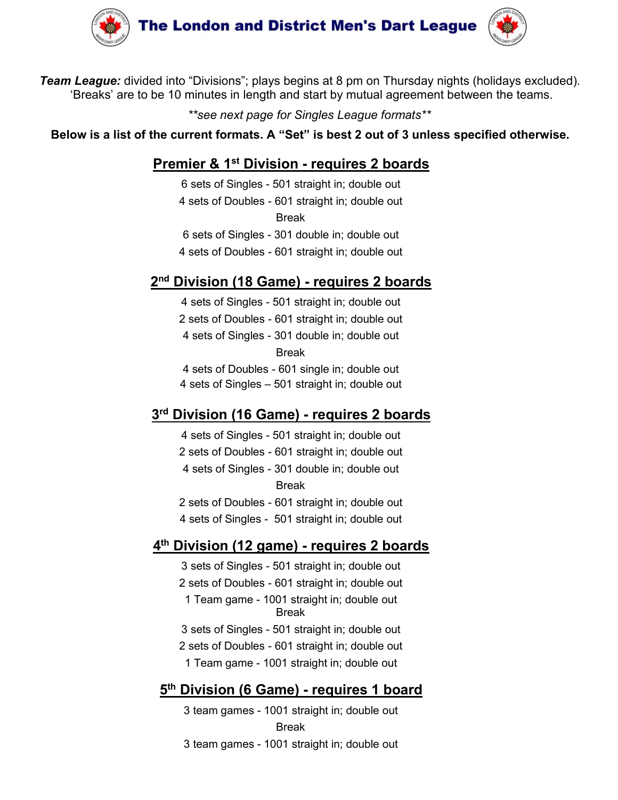

**Common and District Men's Dart League (Weath**<br>
The "Divisions"; plays begins at 8 pm on Thursday nights (holidays excluded).<br>
In minutes in length and start by mutual agreement between the teams.<br>
\*\*see next page for Sing Break **ondon and District Men's Dart League (Warnt Wentington**<br>
"Divisions"; plays begins at 8 pm on Thursday nights (holidays excluded)<br>
minutes in length and start by mutual agreement between the teams.<br>
\*\*see next page for Si **Condon and District Men's Dart League (Compared )**<br>
to "Divisions"; plays begins at 8 pm on Thursday nights (holidays excluded).<br>
Iminutes in length and start by mutual agreement between the teams.<br>
"see next page for Si **Example 18 Condom and District Men's Dart League (18 Condom and District Men's Dart League (18 Absoluted).**<br>
be 10 minutes in length and start by mutual agreement between the teams.<br>
"see next page for Singles League form <sup>4</sup> "Divisions"; plays begins at 8 pm on Thursday nights (holidays excluded).<br>  $m$ inutes in length and start by mutual agreement between the teams.<br>  $*$  "see next page for Singles League formats\*\*<br>  $r$ <br>  $r$ rrent formats. o "Divisions"; plays begins at 8 pm on Thursday nights (holidays excluded).<br>
In minutes in length and start by mutual agreement between the teams.<br>
\*\*see next page for Singles League formats\*\*<br>
urrent formats. A "Set" is b "Divisions"; plays begins at 8 pm on Thursday nights (holidays excluded).<br>
""see next page for *Singles League formats*\*"<br>
"see next page for *Singles League formats*\*"<br>
"Trent formats. A "Set" is best 2 out of 3 unless sp \*\*see next page for Singles League formats\*\*<br>
\*\*see next page for Singles League formats\*\*<br> **nier & 1\* Division - requires 2 boards**<br>
5 sets of Singles - 501 straight in; double out<br>
sets of Doubles - 601 straight in; doub urrent formats. A "Set" is best 2 out of 3 unless specified otherwise.<br>
nier & 1<sup>st</sup> Division - requires 2 boards<br>
6 sets of Singles - 501 straight in; double out<br>
4 sets of Doubles - 601 straight in; double out<br>
6 sets of **Premier & 1st Division - requires 2 boards**<br>
6 sets of Singles - 501 straight in; double out<br>
4 sets of Doubles - 601 straight in; double out<br>
Break<br>
6 sets of Singles - 301 double in; double out<br>
4 sets of Doubles - 601 6 sets of Singles - 501 straight in; double out<br>
4 sets of Doubles - 601 straight in; double out<br>
8 sets of Singles - 301 double in; double out<br>
4 sets of Doubles - 601 straight in; double out<br>
112 sets of Singles - 501 st

Break

# 3rd Division (16 Game) - requires 2 boards

4 sets of Doubles - 601 straight in; double out<br>
4 sets of Doubles - 601 straight in; double out<br>
8 sets of Doubles - 601 straight in; double out<br>
4 sets of Doubles - 601 straight in; double out<br>
1 sets of Singles - 501 st Break<br>Break<br>Break<br>Sets of Singles - 301 double in; double out<br>sets of Doubles - 601 straight in; double out<br>sets of Singles - 501 straight in; double out<br>sets of Singles - 501 straight in; double out<br>4 sets of Doubles - 60 Break 4 sets of Doubles - 601 straight in; double out<br>
21 sets of Doubles - 601 straight in; double out<br>
22 sets of Doubles - 601 straight in; double out<br>
4 sets of Doubles - 601 straight in; double out<br>
4 sets of Doubles - 601 **Division (18 Game)** - **requires 2 boards**<br>
4 sets of Singles - 501 straight in; double out<br>
2 sets of Doubles - 601 straight in; double out<br>
4 sets of Singles - 501 straight in; double out<br>
8 Freak<br>
4 sets of Singles - 50 **Example 18 - 501 straight in;** double out<br>
4 sets of Shogles - 501 straight in; double out<br>
4 sets of Singles - 301 double in; double out<br>
Break<br>
4 sets of Doubles - 601 straight in; double out<br>
4 sets of Singles - 501 st 4 sets of Singles - 501 straight in; double out<br>2 sets of Singles - 601 straight in; double out<br>4 sets of Singles - 501 straight in; double out<br>5 Series - 501 straight in; double out<br>4 sets of Singles - 501 straight in; do 2 sets of Doubles - 601 straight in; double out

## 4<sup>th</sup> Division (12 game) - requires 2 boards

<sup>1</sup> Sets of Doubles - 601 single in; double out<br>
1 Sets of Doubles - 601 single in; double out<br>
1 sets of Singles - 501 straight in; double out<br>
1 **16 Game)** - **requires 2 boards**<br>
1 sets of Singles - 501 straight in; doub Break 4 sets of Doubles - 601 single in; double out<br>
4 sets of Singles - 501 straight in; double out<br> **ivision (16 Game) - requires 2 boards**<br>
4 sets of Singles - 501 straight in; double out<br>
2 sets of Doubles - 601 straight in; 4 sets of Singles - 501 straight in; double out<br> **Division (16 Game) - requires 2 boards**<br>
4 sets of Singles - 501 straight in; double out<br>
2 sets of Doubles - 601 straight in; double out<br>
4 sets of Singles - 301 double in ivision (16 Game) - requires 2 boards<br>sets of Singles - 501 straight in; double out<br>sets of Doubles - 601 straight in; double out<br>asets of Doubles - 301 double in; double out<br>freek<br>sets of Doubles - 601 straight in; double 4 sets of Singles - 501 straight in; double out<br>
2 sets of Doubles - 601 straight in; double out<br>
4 sets of Singles - 301 double in; double out<br>
Break<br>
2 sets of Doubles - 601 straight in; double out<br>
4 sets of Singles sets of Doubles - 601 straight in; double out<br>4 sets of Singles - 301 double in; double out<br>3 teas of Doubles - 601 straight in; double out<br>3 sets of Singles - 501 straight in; double out<br>**ivision (12 game) - requires 2 bo** Break<br>
sets of Doubles - 601 straight in; double out<br>
sets of Singles - 501 straight in; double out<br> **ivision (12 game) - requires 2 boards**<br>
3 sets of Singles - 501 straight in; double out<br>
1 Team game - 1001 straight in;

## 5<sup>th</sup> Division (6 Game) - requires 1 board

Break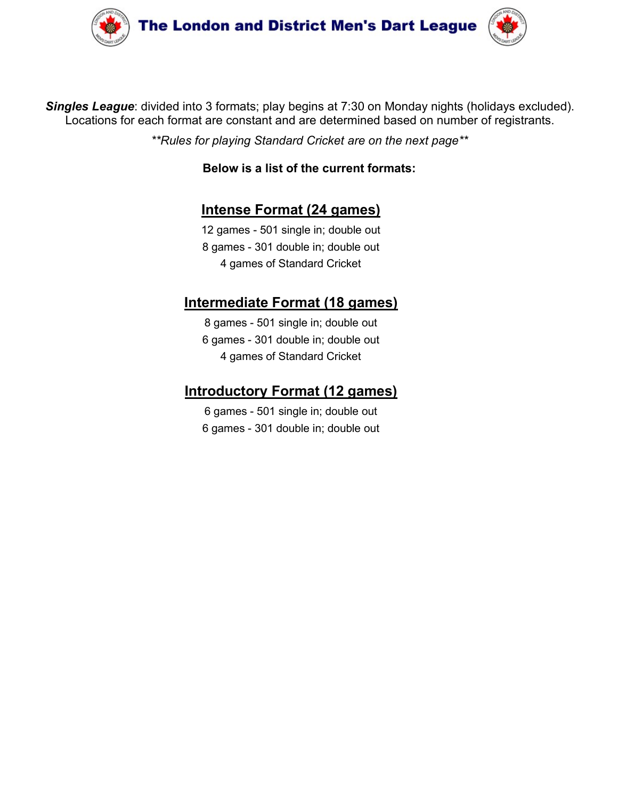



Singles League: divided into 3 formats; play begins at 7:30 on Monday nights (holidays excluded).<br>Locations for each format are constant and are determined based on number of registrants.<br>\*\*Rules for playing Standard Crick The London and District Men's Dart League (<br>gles League: divided into 3 formats; play begins at 7:30 on Monday nights (holidays excluded).<br>Locations for each format are constant and are determined based on number of regist **he London and District Men's Dart League (Weided into 3 formats: play begins at 7:30 on Monday nights (holidays excluded).**<br>Characteristical constant and are determined based on number of registrants.<br>\*\*Rules for playing **Solution and District Men's Dart League (1)**<br>
3 formats; play begins at 7:30 on Monday nights (holidays excluded).<br>
are constant and are determined based on number of registrants.<br> *Solure Solure Solure format (24 games)* **don and District Men's Dart League (34 and 24 games)**<br>
3 formats; play begins at 7:30 on Monday nights (holidays excluded).<br>
are constant and are determined based on number of registrants.<br>
Delow is a list of the current **12 games - 501 single in:** double out<br>
12 games of Standard Cricket are on Monday nights (holidays excluded).<br>
12 games - 501 single in; double out<br>
12 games - 501 single in; double out<br>
12 games - 501 single in; double o **don and District Men's Dart League**<br>
3 formats; play begins at 7:30 on Monday nights (holidays excluded).<br>
are constant and are determined based on number of registrants.<br> **District on the act of the current formats:**<br> **E and District Men's Dart League**<br>
Sommats; play begins at 7:30 on Monday nights (holidays excluded).<br>
Loconstant and are determined based on number of registrants.<br>
Standard Cricket are on the next page\*\*<br>
Now is a list of Into 3 formats; play begins at 7:30 on Monday nights (holidays excluded).<br>
Inat are constant and are determined based on number of registrants.<br>
Sor playing Standard Cricket are on the next page\*\*<br> **Below is a list of the** 3 formats; play begins at 7:30 on Monday nights (holidays excluded).<br>
are constant and are determined based on number of registrants.<br> *r playing Standard Cricket are on the next page*\*\*<br> **Below is a list of the current fo** 3 formats; play begins at 7:30 on Monday nights (holidays excluded).<br>
are constant and are determined based on number of registrants.<br>
or playing Standard Cricket are on the next page\*\*<br> **Below is a list of the current for** ormats; play begins at 7:30 on Monday nights (holidays excluded).<br>
e constant and are determined based on number of registrants.<br>
laying Standard Cricket are on the next page\*\*<br>
iow is a list of the current formats:<br> **ense** 

s for playing Standard Cricket are on the next page\*\*<br>
Below is a list of the current formats:<br>
12 games - 501 single in; double out<br>
8 games - 301 single in; double out<br>
4 games of Standard Cricket<br> **Intermediate Format (** Below is a list of the current formats:<br>
Intense Format (24 games)<br>
12 games - 501 single in; double out<br>
3 games - 301 double in; double out<br>
4 games of Standard Cricket<br> **errmediate Format (18 games)**<br>
8 games - 501 sing Below is a list of the current formats:<br>
Intense Format (24 games)<br>
12 games - 501 single in; double out<br>
8 games - 301 double in; double out<br>
4 games of Standard Cricket<br>
errediate Format (18 games)<br>
8 games - 501 single